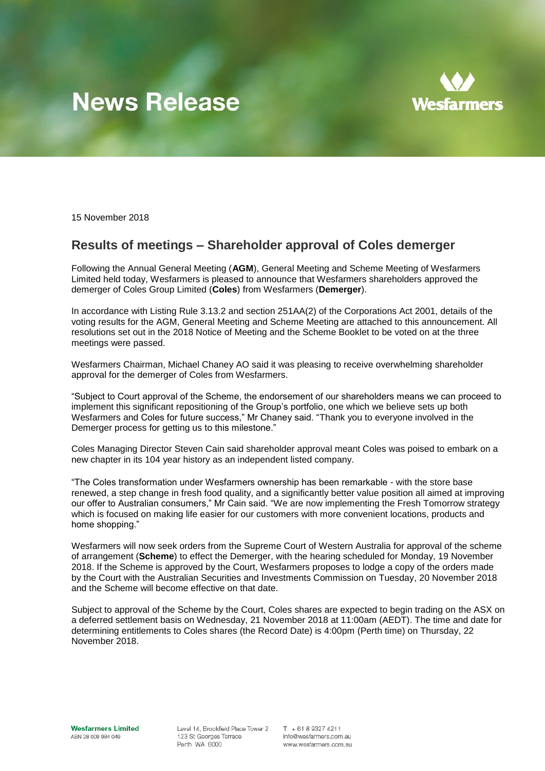# **News Release**



15 November 2018

# **Results of meetings – Shareholder approval of Coles demerger**

Following the Annual General Meeting (**AGM**), General Meeting and Scheme Meeting of Wesfarmers Limited held today, Wesfarmers is pleased to announce that Wesfarmers shareholders approved the demerger of Coles Group Limited (**Coles**) from Wesfarmers (**Demerger**).

In accordance with Listing Rule 3.13.2 and section 251AA(2) of the Corporations Act 2001, details of the voting results for the AGM, General Meeting and Scheme Meeting are attached to this announcement. All resolutions set out in the 2018 Notice of Meeting and the Scheme Booklet to be voted on at the three meetings were passed.

Wesfarmers Chairman, Michael Chaney AO said it was pleasing to receive overwhelming shareholder approval for the demerger of Coles from Wesfarmers.

"Subject to Court approval of the Scheme, the endorsement of our shareholders means we can proceed to implement this significant repositioning of the Group's portfolio, one which we believe sets up both Wesfarmers and Coles for future success," Mr Chaney said. "Thank you to everyone involved in the Demerger process for getting us to this milestone."

Coles Managing Director Steven Cain said shareholder approval meant Coles was poised to embark on a new chapter in its 104 year history as an independent listed company.

"The Coles transformation under Wesfarmers ownership has been remarkable - with the store base renewed, a step change in fresh food quality, and a significantly better value position all aimed at improving our offer to Australian consumers," Mr Cain said. "We are now implementing the Fresh Tomorrow strategy which is focused on making life easier for our customers with more convenient locations, products and home shopping."

Wesfarmers will now seek orders from the Supreme Court of Western Australia for approval of the scheme of arrangement (**Scheme**) to effect the Demerger, with the hearing scheduled for Monday, 19 November 2018. If the Scheme is approved by the Court, Wesfarmers proposes to lodge a copy of the orders made by the Court with the Australian Securities and Investments Commission on Tuesday, 20 November 2018 and the Scheme will become effective on that date.

Subject to approval of the Scheme by the Court, Coles shares are expected to begin trading on the ASX on a deferred settlement basis on Wednesday, 21 November 2018 at 11:00am (AEDT). The time and date for determining entitlements to Coles shares (the Record Date) is 4:00pm (Perth time) on Thursday, 22 November 2018.

**Wesfarmers Limited** ABN 28 008 984 049

Level 14, Brookfield Place Tower 2 123 St Georges Terrace Perth WA 6000

 $T + 61893274211$ info@wesfarmers.com.au www.wesfarmers.com.au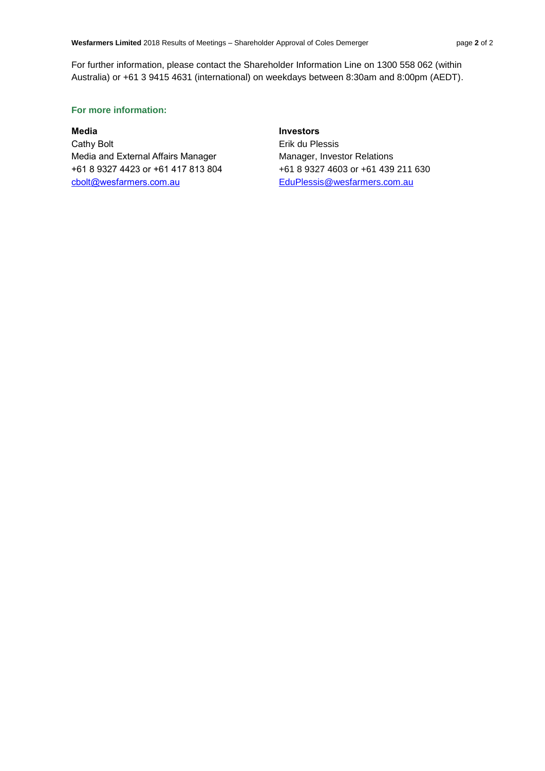For further information, please contact the Shareholder Information Line on 1300 558 062 (within Australia) or +61 3 9415 4631 (international) on weekdays between 8:30am and 8:00pm (AEDT).

## **For more information:**

Cathy Bolt **Example 2018** Erik du Plessis Media and External Affairs Manager Manager, Investor Relations +61 8 9327 4423 or +61 417 813 804 +61 8 9327 4603 or +61 439 211 630 [cbolt@wesfarmers.com.au](mailto:cbolt@wesfarmers.com.au) EduPlessis@wesfarmers.com.au

# **Media Investors**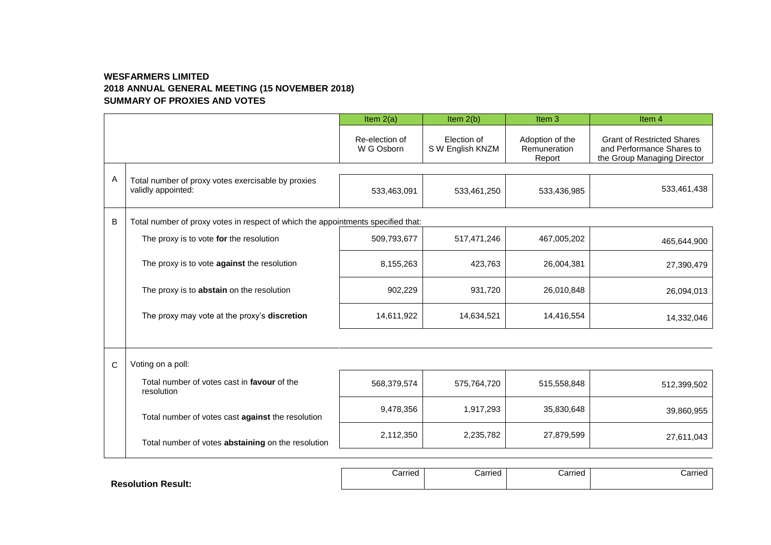# **WESFARMERS LIMITED 2018 ANNUAL GENERAL MEETING (15 NOVEMBER 2018) SUMMARY OF PROXIES AND VOTES**

|   |                                                                                  | Item $2(a)$                  | Item $2(b)$                     | Item <sub>3</sub>                         | Item <sub>4</sub>                                                                             |  |  |  |
|---|----------------------------------------------------------------------------------|------------------------------|---------------------------------|-------------------------------------------|-----------------------------------------------------------------------------------------------|--|--|--|
|   |                                                                                  | Re-election of<br>W G Osborn | Election of<br>S W English KNZM | Adoption of the<br>Remuneration<br>Report | <b>Grant of Restricted Shares</b><br>and Performance Shares to<br>the Group Managing Director |  |  |  |
| Α | Total number of proxy votes exercisable by proxies<br>validly appointed:         | 533,463,091                  | 533,461,250                     | 533,436,985                               | 533,461,438                                                                                   |  |  |  |
| B | Total number of proxy votes in respect of which the appointments specified that: |                              |                                 |                                           |                                                                                               |  |  |  |
|   | The proxy is to vote for the resolution                                          | 509,793,677                  | 517,471,246                     | 467,005,202                               | 465,644,900                                                                                   |  |  |  |
|   | The proxy is to vote against the resolution                                      | 8,155,263                    | 423,763                         | 26,004,381                                | 27,390,479                                                                                    |  |  |  |
|   | The proxy is to abstain on the resolution                                        | 902,229                      | 931,720                         | 26,010,848                                | 26,094,013                                                                                    |  |  |  |
|   | The proxy may vote at the proxy's discretion                                     | 14,611,922                   | 14,634,521                      | 14,416,554                                | 14,332,046                                                                                    |  |  |  |
|   |                                                                                  |                              |                                 |                                           |                                                                                               |  |  |  |
| C | Voting on a poll:                                                                |                              |                                 |                                           |                                                                                               |  |  |  |
|   | Total number of votes cast in favour of the<br>resolution                        | 568,379,574                  | 575,764,720                     | 515,558,848                               | 512,399,502                                                                                   |  |  |  |
|   | Total number of votes cast against the resolution                                | 9,478,356                    | 1,917,293                       | 35,830,648                                | 39,860,955                                                                                    |  |  |  |
|   | Total number of votes abstaining on the resolution                               | 2,112,350                    | 2,235,782                       | 27,879,599                                | 27,611,043                                                                                    |  |  |  |
|   |                                                                                  |                              |                                 |                                           |                                                                                               |  |  |  |

|                              | Carried<br>------- | Carried | Carried | Carried |
|------------------------------|--------------------|---------|---------|---------|
| <b>Result:</b><br>Resolutior |                    |         |         |         |